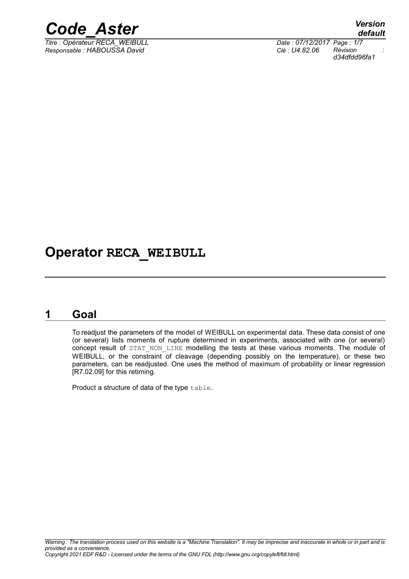

*Titre : Opérateur RECA\_WEIBULL Date : 07/12/2017 Page : 1/7 Responsable : HABOUSSA David Clé : U4.82.06 Révision :*

*d34dfdd96fa1*

### **Operator RECA\_WEIBULL**

#### **1 Goal**

To readjust the parameters of the model of WEIBULL on experimental data. These data consist of one (or several) lists moments of rupture determined in experiments, associated with one (or several) concept result of STAT NON LINE modelling the tests at these various moments. The module of WEIBULL, or the constraint of cleavage (depending possibly on the temperature), or these two parameters, can be readjusted. One uses the method of maximum of probability or linear regression [R7.02.09] for this retiming.

Product a structure of data of the type table.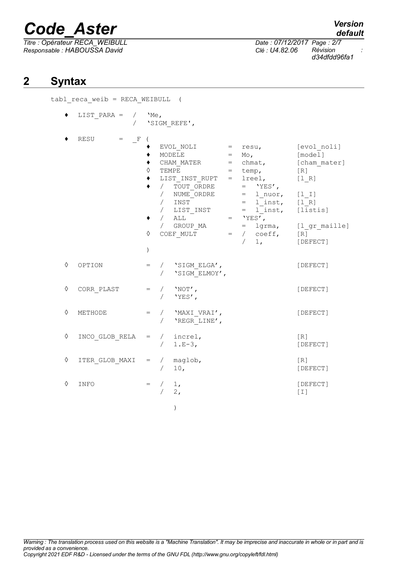*Titre : Opérateur RECA\_WEIBULL Date : 07/12/2017 Page : 2/7 Responsable : HABOUSSA David Clé : U4.82.06 Révision :*

*default*

*d34dfdd96fa1*

#### **2 Syntax**

tabl reca weib = RECA WEIBULL (

|   | LIST PARA =<br>$\sqrt{2}$   | 'Me,              | 'SIGM REFE',                                                                                                                                                                                                                                                                                                                                                      |                                                                                                                                            |
|---|-----------------------------|-------------------|-------------------------------------------------------------------------------------------------------------------------------------------------------------------------------------------------------------------------------------------------------------------------------------------------------------------------------------------------------------------|--------------------------------------------------------------------------------------------------------------------------------------------|
|   | RESU<br>$\mathbb{F}$<br>$=$ | ♦<br>♦<br>$\big)$ | $EVOL NOLI$ = $resu,$<br>MODELE<br>$=$ Mo,<br>$=$ chmat,<br>CHAM MATER<br>TEMPE<br>$=$ temp,<br>= lreel,<br>LIST INST RUPT<br>/ TOUT ORDRE $=$ 'YES',<br>/ NUME ORDRE<br>$=$ 1 nuor,<br>$/$ INST<br>$=$ 1 inst,<br>$\angle$ LIST_INST = l_inst,<br>$/$ ALL $-$<br>$=$ 'YES',<br>/ GROUP MA<br>lgrma,<br>$=$<br>COEF MULT<br>$=$ / $\cosh f$ ,<br>$\sqrt{2}$<br>1, | [evol noli]<br>[model]<br>[cham mater]<br>$\lceil R \rceil$<br>[1 R]<br>$[1 1]$<br>$[1 R]$<br>[listis]<br>[1 gr maille]<br>[R]<br>[DEFECT] |
| ♦ | OPTION                      | $=$<br>$\sqrt{2}$ | / 'SIGM ELGA',<br>'SIGM ELMOY',                                                                                                                                                                                                                                                                                                                                   | [DEFECT]                                                                                                                                   |
| ♦ | CORR PLAST                  | $\sqrt{2}$        | $=$ / $'NOT'$ ,<br>'YES',                                                                                                                                                                                                                                                                                                                                         | [DEFECT]                                                                                                                                   |
| ♦ | METHODE                     | $=$<br>$\sqrt{2}$ | / 'MAXI VRAI',<br>'REGR LINE',                                                                                                                                                                                                                                                                                                                                    | [DEFECT]                                                                                                                                   |
| ♦ | INCO GLOB RELA              | $\sqrt{2}$        | $=$ / increl,<br>$1.E-3,$                                                                                                                                                                                                                                                                                                                                         | $\lceil R \rceil$<br>[DEFECT]                                                                                                              |
| ♦ | ITER GLOB MAXI              |                   | $=$ / maglob,<br>10,                                                                                                                                                                                                                                                                                                                                              | $\lceil R \rceil$<br>[DEFECT]                                                                                                              |
| ♦ | INFO                        | $=$<br>$\sqrt{2}$ | $1$ ,<br>2,                                                                                                                                                                                                                                                                                                                                                       | [DEFECT]<br>$[1]$                                                                                                                          |
|   |                             |                   | $\mathcal{E}$                                                                                                                                                                                                                                                                                                                                                     |                                                                                                                                            |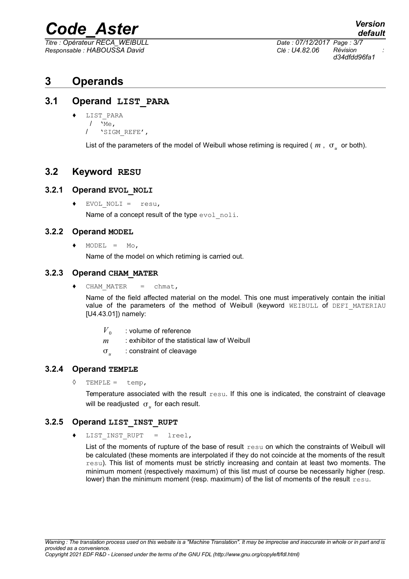*Titre : Opérateur RECA\_WEIBULL Date : 07/12/2017 Page : 3/7 Responsable : HABOUSSA David Clé : U4.82.06 Révision :*

#### **3 Operands**

#### **3.1 Operand LIST\_PARA**

- ♦ LIST\_PARA
	- $/$  'Me,
	- / 'SIGM\_REFE',

List of the parameters of the model of Weibull whose retiming is required (  $m$  ,  $\sigma_{_u}$  or both).

#### **3.2 Keyword RESU**

#### **3.2.1 Operand EVOL\_NOLI**

♦ EVOL\_NOLI = resu, Name of a concept result of the type evol noli.

#### **3.2.2 Operand MODEL**

 $\triangleleft$  MODEL = Mo,

Name of the model on which retiming is carried out.

#### **3.2.3 Operand CHAM\_MATER**

CHAM MATER  $=$  chmat,

Name of the field affected material on the model. This one must imperatively contain the initial value of the parameters of the method of Weibull (keyword WEIBULL of DEFI MATERIAU [U4.43.01]) namely:

- $V_{0}$ : volume of reference
- *m* : exhibitor of the statistical law of Weibull
- $\sigma_{\mu}$ : constraint of cleavage

#### **3.2.4 Operand TEMPLE**

 $\Diamond$  TEMPLE = temp.

Temperature associated with the result resu. If this one is indicated, the constraint of cleavage will be readjusted  $\sigma_u^+$  for each result.

#### **3.2.5 Operand LIST\_INST\_RUPT**

♦ LIST\_INST\_RUPT = lreel,

List of the moments of rupture of the base of result resu on which the constraints of Weibull will be calculated (these moments are interpolated if they do not coincide at the moments of the result resu). This list of moments must be strictly increasing and contain at least two moments. The minimum moment (respectively maximum) of this list must of course be necessarily higher (resp. lower) than the minimum moment (resp. maximum) of the list of moments of the result resu.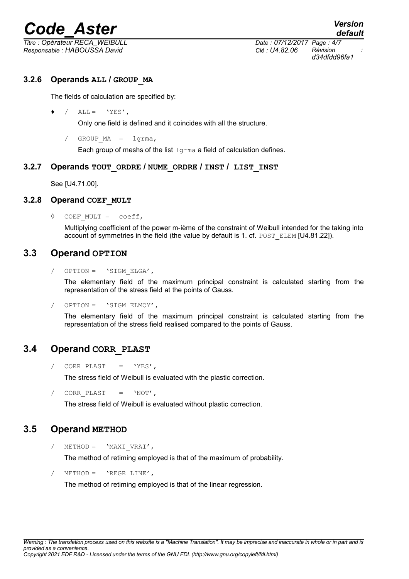*Titre : Opérateur RECA\_WEIBULL Date : 07/12/2017 Page : 4/7 Responsable : HABOUSSA David Clé : U4.82.06 Révision :*

#### **3.2.6 Operands ALL / GROUP\_MA**

The fields of calculation are specified by:

 $\bullet$  / ALL = 'YES',

Only one field is defined and it coincides with all the structure.

/ GROUP MA = lgrma,

Each group of meshs of the list lgrma a field of calculation defines.

#### **3.2.7 Operands TOUT\_ORDRE / NUME\_ORDRE / INST / LIST\_INST**

See [U4.71.00].

#### **3.2.8 Operand COEF\_MULT**

◊ COEF\_MULT = coeff,

Multiplying coefficient of the power m-ième of the constraint of Weibull intended for the taking into account of symmetries in the field (the value by default is 1. cf. POST\_ELEM [U4.81.22]).

#### **3.3 Operand OPTION**

OPTION = 'SIGM\_ELGA',

The elementary field of the maximum principal constraint is calculated starting from the representation of the stress field at the points of Gauss.

/ OPTION = 'SIGM\_ELMOY',

The elementary field of the maximum principal constraint is calculated starting from the representation of the stress field realised compared to the points of Gauss.

#### **3.4 Operand CORR\_PLAST**

/ CORR PLAST =  $'YES'$ ,

The stress field of Weibull is evaluated with the plastic correction.

/ CORR PLAST =  $'NOT'$ ,

The stress field of Weibull is evaluated without plastic correction.

#### **3.5 Operand METHOD**

 $/$  METHOD = 'MAXI VRAI',

The method of retiming employed is that of the maximum of probability.

 $METHOD = 'REGR LINE',$ 

The method of retiming employed is that of the linear regression.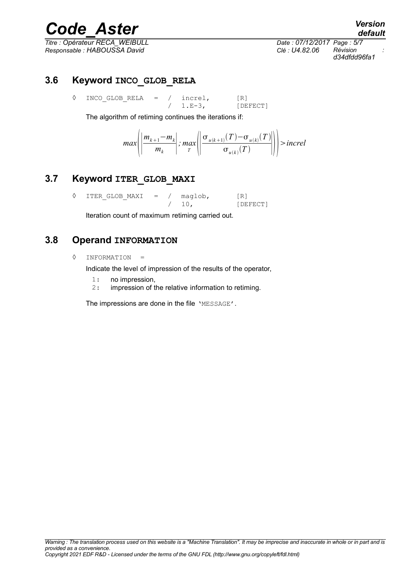*Titre : Opérateur RECA\_WEIBULL Date : 07/12/2017 Page : 5/7 Responsable : HABOUSSA David Clé : U4.82.06 Révision :*

*d34dfdd96fa1*

#### **3.6 Keyword INCO\_GLOB\_RELA**

◊ INCO\_GLOB\_RELA = / increl, [R]  $1.E-3$ , [DEFECT]

The algorithm of retiming continues the iterations if:

$$
\max\left(\left|\frac{m_{k+1}-m_k}{m_k}\right|; \max_T\left(\left|\frac{\sigma_{u(k+1)}(T)-\sigma_{u(k)}(T)}{\sigma_{u(k)}(T)}\right|\right)\right| > increl
$$

#### **3.7 Keyword ITER\_GLOB\_MAXI**

 $\Diamond$  ITER GLOB MAXI = / maglob, [R] / 10, [DEFECT]

Iteration count of maximum retiming carried out.

#### **3.8 Operand INFORMATION**

◊ INFORMATION =

Indicate the level of impression of the results of the operator,

- 1: no impression,
- 2: impression of the relative information to retiming.

The impressions are done in the file 'MESSAGE'.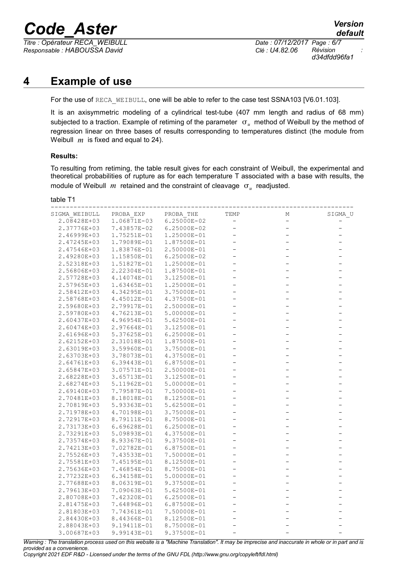*Titre : Opérateur RECA\_WEIBULL Date : 07/12/2017 Page : 6/7 Responsable : HABOUSSA David Clé : U4.82.06 Révision :*

*d34dfdd96fa1*

#### **4 Example of use**

For the use of RECA WEIBULL, one will be able to refer to the case test SSNA103 [V6.01.103].

It is an axisymmetric modeling of a cylindrical test-tube (407 mm length and radius of 68 mm) subjected to a traction. Example of retiming of the parameter  $\vert \sigma_u \vert$  method of Weibull by the method of regression linear on three bases of results corresponding to temperatures distinct (the module from Weibull *m* is fixed and equal to 24).

#### **Results:**

To resulting from retiming, the table result gives for each constraint of Weibull, the experimental and theoretical probabilities of rupture as for each temperature T associated with a base with results, the module of Weibull  $m$  retained and the constraint of cleavage  $\sigma_u$  readjusted.

| ranie |  |
|-------|--|
|       |  |

| SIGMA WEIBULL | PROBA EXP       | PROBA THE       | TEMP                     | Μ                 | SIGMA U                  |
|---------------|-----------------|-----------------|--------------------------|-------------------|--------------------------|
| 2.08428E+03   | 1.06871E-03     | $6.25000E - 02$ | $\qquad \qquad -$        | $\qquad \qquad -$ |                          |
| 2.37776E+03   | 7.43857E-02     | 6.25000E-02     | $\overline{\phantom{0}}$ |                   |                          |
| 2.46999E+03   | 1.75251E-01     | 1.25000E-01     |                          |                   |                          |
| 2.47245E+03   | 1.79089E-01     | 1.87500E-01     | $\overline{\phantom{0}}$ |                   | $\overline{\phantom{0}}$ |
| 2.47546E+03   | 1.83876E-01     | 2.50000E-01     | $\overline{a}$           |                   | $\overline{\phantom{0}}$ |
| 2.49280E+03   | 1.15850E-01     | 6.25000E-02     | $\overline{\phantom{0}}$ |                   | $\overline{\phantom{0}}$ |
| 2.52318E+03   | 1.51827E-01     | 1.25000E-01     | $\overline{\phantom{0}}$ |                   | $\overline{\phantom{0}}$ |
| 2.56806E+03   | 2.22304E-01     | 1.87500E-01     |                          |                   |                          |
| 2.57728E+03   | 4.14074E-01     | 3.12500E-01     | $\overline{\phantom{0}}$ |                   | $\overline{\phantom{0}}$ |
| 2.57965E+03   | 1.63465E-01     | 1.25000E-01     | $\overline{\phantom{0}}$ |                   | $\overline{\phantom{0}}$ |
| 2.58412E+03   | 4.34295E-01     | 3.75000E-01     | $\qquad \qquad -$        |                   | $\overline{\phantom{0}}$ |
| 2.58768E+03   | 4.45012E-01     | 4.37500E-01     | $\overline{a}$           |                   | $\overline{\phantom{0}}$ |
| 2.59680E+03   | 2.79917E-01     | 2.50000E-01     |                          |                   |                          |
| 2.59780E+03   | 4.76213E-01     | 5.00000E-01     | $\qquad \qquad -$        |                   | -                        |
| 2.60437E+03   | 4.96954E-01     | 5.62500E-01     | $\overline{a}$           |                   |                          |
| 2.60474E+03   | 2.97664E-01     | 3.12500E-01     | $\overline{\phantom{0}}$ |                   | $\overline{\phantom{0}}$ |
| 2.61696E+03   | 5.37625E-01     | $6.25000E - 01$ | $\overline{\phantom{0}}$ |                   | $\overline{\phantom{0}}$ |
| 2.62152E+03   | 2.31018E-01     | 1.87500E-01     |                          |                   | $\overline{\phantom{0}}$ |
| 2.63019E+03   | 3.59960E-01     | 3.75000E-01     | $\overline{\phantom{0}}$ |                   | $\overline{\phantom{0}}$ |
| 2.63703E+03   | 3.78073E-01     | 4.37500E-01     | $\overline{\phantom{0}}$ |                   | $\overline{\phantom{0}}$ |
| 2.64761E+03   | 6.39443E-01     | 6.87500E-01     | $\overline{\phantom{0}}$ |                   | $\overline{\phantom{0}}$ |
| 2.65847E+03   | 3.07571E-01     | 2.50000E-01     | $\overline{\phantom{0}}$ |                   | $\overline{\phantom{0}}$ |
| 2.68228E+03   | 3.65713E-01     | 3.12500E-01     |                          |                   |                          |
| 2.68274E+03   | 5.11962E-01     | 5.00000E-01     | $\overline{\phantom{0}}$ |                   | -                        |
| 2.69140E+03   | 7.79587E-01     | 7.50000E-01     | -                        |                   | $\overline{\phantom{0}}$ |
| 2.70481E+03   | 8.18018E-01     | 8.12500E-01     | $\overline{\phantom{0}}$ |                   | $\overline{\phantom{0}}$ |
| 2.70819E+03   | 5.93363E-01     | 5.62500E-01     | $\overline{a}$           |                   | $\overline{\phantom{0}}$ |
| 2.71978E+03   | 4.70198E-01     | 3.75000E-01     |                          |                   |                          |
| 2.72917E+03   | 8.79111E-01     | 8.75000E-01     | $\overline{\phantom{0}}$ |                   | $\overline{\phantom{0}}$ |
| 2.73173E+03   | $6.69628E - 01$ | 6.25000E-01     | $\overline{\phantom{0}}$ |                   | $\overline{\phantom{0}}$ |
| 2.73291E+03   | 5.09893E-01     | 4.37500E-01     | $\overline{\phantom{0}}$ |                   | $\overline{\phantom{0}}$ |
| 2.73574E+03   | 8.93367E-01     | 9.37500E-01     | $\overline{\phantom{0}}$ |                   | $\overline{\phantom{0}}$ |
| 2.74213E+03   | 7.02782E-01     | 6.87500E-01     |                          |                   |                          |
| 2.75526E+03   | 7.43533E-01     | 7.50000E-01     | $\overline{\phantom{0}}$ |                   | $\overline{\phantom{0}}$ |
| 2.75581E+03   | 7.45195E-01     | 8.12500E-01     | $\overline{\phantom{0}}$ |                   | $\overline{\phantom{0}}$ |
| 2.75636E+03   | 7.46854E-01     | 8.75000E-01     | $\overline{\phantom{0}}$ |                   | $\overline{\phantom{0}}$ |
| 2.77232E+03   | 6.34158E-01     | 5.00000E-01     | $\overline{\phantom{0}}$ |                   | $\overline{\phantom{0}}$ |
| 2.77688E+03   | 8.06319E-01     | 9.37500E-01     |                          |                   |                          |
| 2.79613E+03   | 7.09063E-01     | 5.62500E-01     | -                        |                   | -                        |
| 2.80708E+03   | 7.42320E-01     | 6.25000E-01     | $\qquad \qquad -$        |                   | $\overline{\phantom{0}}$ |
| 2.81475E+03   | 7.64896E-01     | 6.87500E-01     | -                        |                   | $\overline{\phantom{0}}$ |
| 2.81803E+03   | 7.74361E-01     | 7.50000E-01     | $\overline{\phantom{0}}$ |                   |                          |
| 2.84430E+03   | 8.44366E-01     | 8.12500E-01     |                          |                   |                          |
| 2.88043E+03   | 9.19411E-01     | 8.75000E-01     | $\qquad \qquad -$        |                   | $\overline{\phantom{0}}$ |
| 3.00687E+03   | 9.99143E-01     | 9.37500E-01     |                          |                   |                          |

*Warning : The translation process used on this website is a "Machine Translation". It may be imprecise and inaccurate in whole or in part and is provided as a convenience.*

*Copyright 2021 EDF R&D - Licensed under the terms of the GNU FDL (http://www.gnu.org/copyleft/fdl.html)*